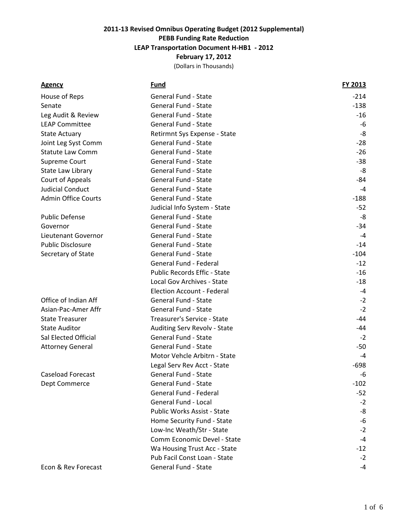| <b>Agency</b>              | <u>Fund</u>                       | FY 2013 |
|----------------------------|-----------------------------------|---------|
| House of Reps              | <b>General Fund - State</b>       | $-214$  |
| Senate                     | <b>General Fund - State</b>       | $-138$  |
| Leg Audit & Review         | <b>General Fund - State</b>       | $-16$   |
| <b>LEAP Committee</b>      | <b>General Fund - State</b>       | $-6$    |
| <b>State Actuary</b>       | Retirmnt Sys Expense - State      | $-8$    |
| Joint Leg Syst Comm        | <b>General Fund - State</b>       | $-28$   |
| <b>Statute Law Comm</b>    | <b>General Fund - State</b>       | $-26$   |
| Supreme Court              | General Fund - State              | $-38$   |
| State Law Library          | <b>General Fund - State</b>       | $-8$    |
| Court of Appeals           | <b>General Fund - State</b>       | -84     |
| <b>Judicial Conduct</b>    | <b>General Fund - State</b>       | $-4$    |
| <b>Admin Office Courts</b> | <b>General Fund - State</b>       | $-188$  |
|                            | Judicial Info System - State      | $-52$   |
| <b>Public Defense</b>      | General Fund - State              | $-8$    |
| Governor                   | <b>General Fund - State</b>       | $-34$   |
| Lieutenant Governor        | <b>General Fund - State</b>       | $-4$    |
| <b>Public Disclosure</b>   | <b>General Fund - State</b>       | $-14$   |
| Secretary of State         | <b>General Fund - State</b>       | $-104$  |
|                            | General Fund - Federal            | $-12$   |
|                            | Public Records Effic - State      | $-16$   |
|                            | Local Gov Archives - State        | $-18$   |
|                            | <b>Election Account - Federal</b> | $-4$    |
| Office of Indian Aff       | <b>General Fund - State</b>       | $-2$    |
| Asian-Pac-Amer Affr        | <b>General Fund - State</b>       | $-2$    |
| <b>State Treasurer</b>     | Treasurer's Service - State       | $-44$   |
| <b>State Auditor</b>       | Auditing Serv Revolv - State      | $-44$   |
| Sal Elected Official       | <b>General Fund - State</b>       | $-2$    |
| <b>Attorney General</b>    | <b>General Fund - State</b>       | $-50$   |
|                            | Motor Vehcle Arbitrn - State      | $-4$    |
|                            | Legal Serv Rev Acct - State       | $-698$  |
| <b>Caseload Forecast</b>   | <b>General Fund - State</b>       | $-6$    |
| Dept Commerce              | <b>General Fund - State</b>       | $-102$  |
|                            | <b>General Fund - Federal</b>     | $-52$   |
|                            | General Fund - Local              | $-2$    |
|                            | Public Works Assist - State       | $-8$    |
|                            | Home Security Fund - State        | $-6$    |
|                            | Low-Inc Weath/Str - State         | $-2$    |
|                            | Comm Economic Devel - State       | -4      |
|                            | Wa Housing Trust Acc - State      | -12     |
|                            | Pub Facil Const Loan - State      | $-2$    |
| Econ & Rev Forecast        | <b>General Fund - State</b>       | $-4$    |
|                            |                                   |         |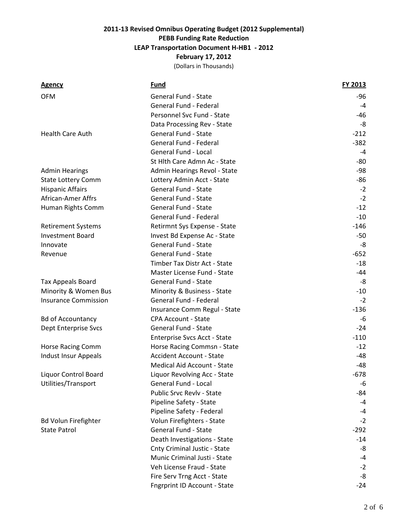| <b>Agency</b>               | <u>Fund</u>                     | FY 2013 |
|-----------------------------|---------------------------------|---------|
| <b>OFM</b>                  | <b>General Fund - State</b>     | -96     |
|                             | General Fund - Federal          | -4      |
|                             | Personnel Svc Fund - State      | -46     |
|                             | Data Processing Rev - State     | -8      |
| <b>Health Care Auth</b>     | <b>General Fund - State</b>     | $-212$  |
|                             | General Fund - Federal          | $-382$  |
|                             | <b>General Fund - Local</b>     | $-4$    |
|                             | St Hlth Care Admn Ac - State    | -80     |
| <b>Admin Hearings</b>       | Admin Hearings Revol - State    | -98     |
| <b>State Lottery Comm</b>   | Lottery Admin Acct - State      | -86     |
| <b>Hispanic Affairs</b>     | <b>General Fund - State</b>     | $-2$    |
| <b>African-Amer Affrs</b>   | <b>General Fund - State</b>     | $-2$    |
| Human Rights Comm           | <b>General Fund - State</b>     | $-12$   |
|                             | General Fund - Federal          | $-10$   |
| <b>Retirement Systems</b>   | Retirmnt Sys Expense - State    | $-146$  |
| <b>Investment Board</b>     | Invest Bd Expense Ac - State    | $-50$   |
| Innovate                    | <b>General Fund - State</b>     | -8      |
| Revenue                     | <b>General Fund - State</b>     | $-652$  |
|                             | Timber Tax Distr Act - State    | $-18$   |
|                             | Master License Fund - State     | -44     |
| <b>Tax Appeals Board</b>    | <b>General Fund - State</b>     | -8      |
| Minority & Women Bus        | Minority & Business - State     | $-10$   |
| <b>Insurance Commission</b> | General Fund - Federal          | $-2$    |
|                             | Insurance Comm Regul - State    | $-136$  |
| <b>Bd of Accountancy</b>    | <b>CPA Account - State</b>      | -6      |
| Dept Enterprise Svcs        | <b>General Fund - State</b>     | $-24$   |
|                             | Enterprise Svcs Acct - State    | $-110$  |
| Horse Racing Comm           | Horse Racing Commsn - State     | $-12$   |
| Indust Insur Appeals        | <b>Accident Account - State</b> | $-48$   |
|                             | Medical Aid Account - State     | $-48$   |
| Liquor Control Board        | Liquor Revolving Acc - State    | $-678$  |
| Utilities/Transport         | General Fund - Local            | -6      |
|                             | Public Srvc Revlv - State       | -84     |
|                             | Pipeline Safety - State         | -4      |
|                             | Pipeline Safety - Federal       | -4      |
| <b>Bd Volun Firefighter</b> | Volun Firefighters - State      | $-2$    |
| <b>State Patrol</b>         | <b>General Fund - State</b>     | $-292$  |
|                             | Death Investigations - State    | $-14$   |
|                             | Cnty Criminal Justic - State    | -8      |
|                             | Munic Criminal Justi - State    | $-4$    |
|                             | Veh License Fraud - State       | $-2$    |
|                             | Fire Serv Trng Acct - State     | -8      |
|                             | Fngrprint ID Account - State    | $-24$   |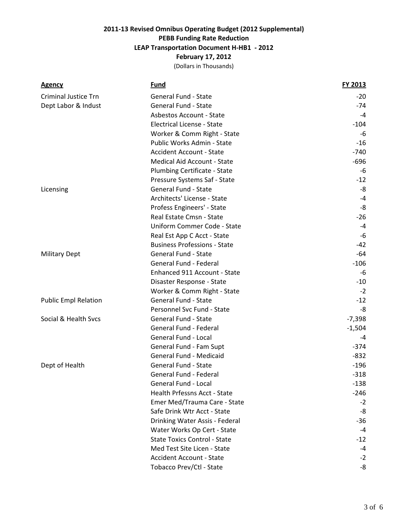| <b>Agency</b>               | <u>Fund</u>                         | FY 2013  |
|-----------------------------|-------------------------------------|----------|
| <b>Criminal Justice Trn</b> | <b>General Fund - State</b>         | $-20$    |
| Dept Labor & Indust         | General Fund - State                | $-74$    |
|                             | Asbestos Account - State            | -4       |
|                             | <b>Electrical License - State</b>   | $-104$   |
|                             | Worker & Comm Right - State         | -6       |
|                             | Public Works Admin - State          | $-16$    |
|                             | <b>Accident Account - State</b>     | -740     |
|                             | Medical Aid Account - State         | $-696$   |
|                             | Plumbing Certificate - State        | -6       |
|                             | Pressure Systems Saf - State        | $-12$    |
| Licensing                   | <b>General Fund - State</b>         | -8       |
|                             | Architects' License - State         | $-4$     |
|                             | Profess Engineers' - State          | -8       |
|                             | Real Estate Cmsn - State            | $-26$    |
|                             | Uniform Commer Code - State         | $-4$     |
|                             | Real Est App C Acct - State         | -6       |
|                             | <b>Business Professions - State</b> | $-42$    |
| <b>Military Dept</b>        | <b>General Fund - State</b>         | -64      |
|                             | <b>General Fund - Federal</b>       | $-106$   |
|                             | Enhanced 911 Account - State        | -6       |
|                             | Disaster Response - State           | $-10$    |
|                             | Worker & Comm Right - State         | $-2$     |
| <b>Public Empl Relation</b> | <b>General Fund - State</b>         | $-12$    |
|                             | Personnel Svc Fund - State          | -8       |
| Social & Health Svcs        | General Fund - State                | $-7,398$ |
|                             | General Fund - Federal              | $-1,504$ |
|                             | General Fund - Local                | -4       |
|                             | General Fund - Fam Supt             | $-374$   |
|                             | General Fund - Medicaid             | $-832$   |
| Dept of Health              | General Fund - State                | $-196$   |
|                             | General Fund - Federal              | $-318$   |
|                             | General Fund - Local                | $-138$   |
|                             | Health Prfessns Acct - State        | $-246$   |
|                             | Emer Med/Trauma Care - State        | $-2$     |
|                             | Safe Drink Wtr Acct - State         | -8       |
|                             | Drinking Water Assis - Federal      | $-36$    |
|                             | Water Works Op Cert - State         | $-4$     |
|                             | <b>State Toxics Control - State</b> | $-12$    |
|                             | Med Test Site Licen - State         | -4       |
|                             | <b>Accident Account - State</b>     | $-2$     |
|                             | Tobacco Prev/Ctl - State            | -8       |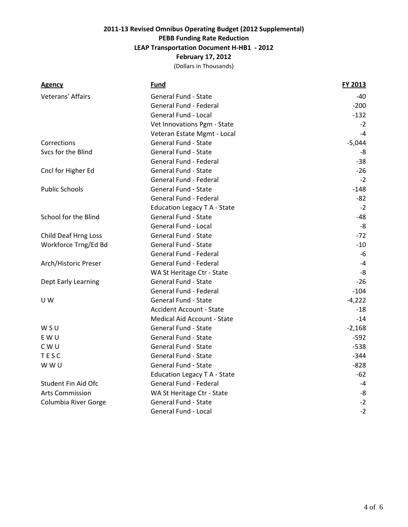| <b>Agency</b>          | Fund                            | FY 2013  |
|------------------------|---------------------------------|----------|
| Veterans' Affairs      | <b>General Fund - State</b>     | -40      |
|                        | General Fund - Federal          | $-200$   |
|                        | <b>General Fund - Local</b>     | $-132$   |
|                        | Vet Innovations Pgm - State     | $-2$     |
|                        | Veteran Estate Mgmt - Local     | $-4$     |
| Corrections            | <b>General Fund - State</b>     | $-5,044$ |
| Svcs for the Blind     | <b>General Fund - State</b>     | -8       |
|                        | General Fund - Federal          | $-38$    |
| Cncl for Higher Ed     | <b>General Fund - State</b>     | $-26$    |
|                        | General Fund - Federal          | $-2$     |
| <b>Public Schools</b>  | <b>General Fund - State</b>     | $-148$   |
|                        | General Fund - Federal          | $-82$    |
|                        | Education Legacy T A - State    | $-2$     |
| School for the Blind   | General Fund - State            | $-48$    |
|                        | <b>General Fund - Local</b>     | -8       |
| Child Deaf Hrng Loss   | <b>General Fund - State</b>     | $-72$    |
| Workforce Trng/Ed Bd   | <b>General Fund - State</b>     | $-10$    |
|                        | <b>General Fund - Federal</b>   | $-6$     |
| Arch/Historic Preser   | General Fund - Federal          | $-4$     |
|                        | WA St Heritage Ctr - State      | $-8$     |
| Dept Early Learning    | <b>General Fund - State</b>     | $-26$    |
|                        | <b>General Fund - Federal</b>   | $-104$   |
| UW                     | General Fund - State            | $-4,222$ |
|                        | <b>Accident Account - State</b> | -18      |
|                        | Medical Aid Account - State     | $-14$    |
| WSU                    | General Fund - State            | $-2,168$ |
| E W U                  | General Fund - State            | $-592$   |
| C W U                  | General Fund - State            | $-538$   |
| TESC                   | General Fund - State            | $-344$   |
| W W U                  | <b>General Fund - State</b>     | $-828$   |
|                        | Education Legacy T A - State    | -62      |
| Student Fin Aid Ofc    | General Fund - Federal          | $-4$     |
| <b>Arts Commission</b> | WA St Heritage Ctr - State      | -8       |
| Columbia River Gorge   | General Fund - State            | $-2$     |
|                        | General Fund - Local            | $-2$     |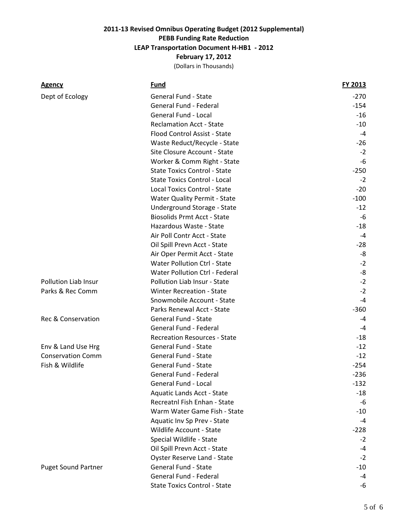| <b>Agency</b>               | <b>Fund</b>                         | <b>FY 2013</b> |
|-----------------------------|-------------------------------------|----------------|
| Dept of Ecology             | <b>General Fund - State</b>         | $-270$         |
|                             | General Fund - Federal              | $-154$         |
|                             | <b>General Fund - Local</b>         | -16            |
|                             | <b>Reclamation Acct - State</b>     | $-10$          |
|                             | Flood Control Assist - State        | -4             |
|                             | Waste Reduct/Recycle - State        | $-26$          |
|                             | Site Closure Account - State        | $-2$           |
|                             | Worker & Comm Right - State         | -6             |
|                             | <b>State Toxics Control - State</b> | $-250$         |
|                             | <b>State Toxics Control - Local</b> | $-2$           |
|                             | <b>Local Toxics Control - State</b> | $-20$          |
|                             | <b>Water Quality Permit - State</b> | $-100$         |
|                             | Underground Storage - State         | $-12$          |
|                             | <b>Biosolids Prmt Acct - State</b>  | -6             |
|                             | Hazardous Waste - State             | $-18$          |
|                             | Air Poll Contr Acct - State         | -4             |
|                             | Oil Spill Prevn Acct - State        | -28            |
|                             | Air Oper Permit Acct - State        | -8             |
|                             | <b>Water Pollution Ctrl - State</b> | $-2$           |
|                             | Water Pollution Ctrl - Federal      | -8             |
| <b>Pollution Liab Insur</b> | Pollution Liab Insur - State        | $-2$           |
| Parks & Rec Comm            | <b>Winter Recreation - State</b>    | $-2$           |
|                             | Snowmobile Account - State          | $-4$           |
|                             | Parks Renewal Acct - State          | $-360$         |
| Rec & Conservation          | <b>General Fund - State</b>         | $-4$           |
|                             | General Fund - Federal              | -4             |
|                             | <b>Recreation Resources - State</b> | -18            |
| Env & Land Use Hrg          | <b>General Fund - State</b>         | $-12$          |
| <b>Conservation Comm</b>    | <b>General Fund - State</b>         | $-12$          |
| Fish & Wildlife             | <b>General Fund - State</b>         | $-254$         |
|                             | <b>General Fund - Federal</b>       | $-236$         |
|                             | General Fund - Local                | -132           |
|                             | Aquatic Lands Acct - State          | $-18$          |
|                             | Recreatnl Fish Enhan - State        | -6             |
|                             | Warm Water Game Fish - State        | $-10$          |
|                             | Aquatic Inv Sp Prev - State         | $-4$           |
|                             | Wildlife Account - State            | $-228$         |
|                             | Special Wildlife - State            | $-2$           |
|                             | Oil Spill Prevn Acct - State        | $-4$           |
|                             | <b>Oyster Reserve Land - State</b>  | $-2$           |
| <b>Puget Sound Partner</b>  | <b>General Fund - State</b>         | $-10$          |
|                             | General Fund - Federal              | $-4$           |
|                             | <b>State Toxics Control - State</b> | -6             |